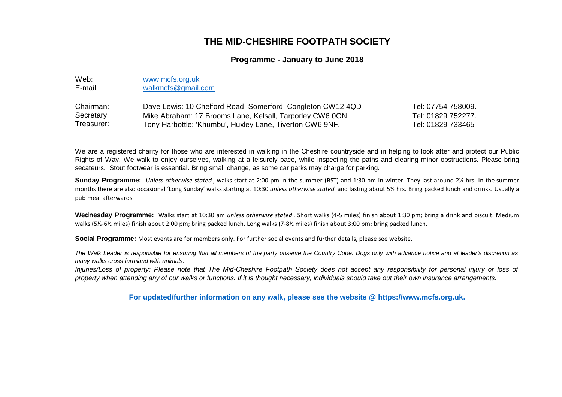## **THE MID-CHESHIRE FOOTPATH SOCIETY**

## **Programme - January to June 2018**

| Web:    | www.mcfs.org.uk    |  |  |
|---------|--------------------|--|--|
| E-mail: | walkmcfs@gmail.com |  |  |

| Chairman:  | Dave Lewis: 10 Chelford Road, Somerford, Congleton CW12 4QD | Tel: 07754 758009. |
|------------|-------------------------------------------------------------|--------------------|
| Secretary: | Mike Abraham: 17 Brooms Lane, Kelsall, Tarporley CW6 0QN    | Tel: 01829 752277. |
| Treasurer: | Tony Harbottle: 'Khumbu', Huxley Lane, Tiverton CW6 9NF.    | Tel: 01829 733465  |

We are a registered charity for those who are interested in walking in the Cheshire countryside and in helping to look after and protect our Public Rights of Way. We walk to enjoy ourselves, walking at <sup>a</sup> leisurely pace, while inspecting the paths and clearing minor obstructions. Please bringsecateurs. Stout footwear is essential. Bring small change, as some car parks may charge for parking.

**Sunday Programme:** Unless otherwise stated , walks start at 2:00 pm in the summer (BST) and 1:30 pm in winter. They last around 2½ hrs. In the summer months there are also occasional 'Long Sunday' walks starting at 10:30 *unless otherwise stated* and lasting about 5½ hrs. Bring packed lunch and drinks. Usually a pub meal afterwards.

**Wednesday Programme:** Walks start at 10:30 am unless otherwise stated . Short walks (4-5 miles) finish about 1:30 pm; bring <sup>a</sup> drink and biscuit. Medium walks (5½-6½ miles) finish about 2:00 pm; bring packed lunch. Long walks (7-8½ miles) finish about 3:00 pm; bring packed lunch.

**Social Programme:** Most events are for members only. For further social events and further details, please see website.

The Walk Leader is responsible for ensuring that all members of the party observe the Country Code. Dogs only with advance notice and at leader's discretion as many walks cross farmland with animals.

Injuries/Loss of property: Please note that The Mid-Cheshire Footpath Society does not accept any responsibility for personal injury or loss of property when attending any of our walks or functions. If it is thought necessary, individuals should take out their own insurance arrangements.

**For updated/further information on any walk, please see the website @ https://www.mcfs.org.uk.**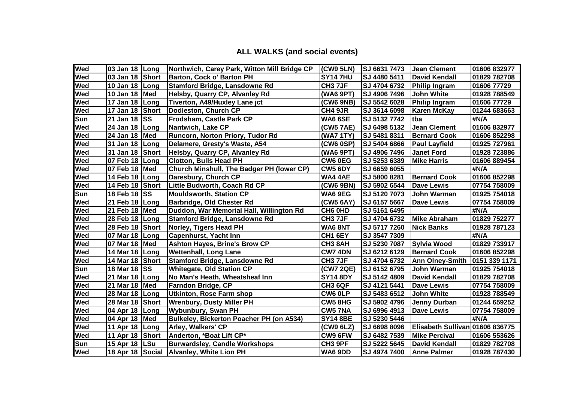## **ALL WALKS (and social events)**

| Wed        | 03 Jan 18 Long         |      | Northwich, Carey Park, Witton Mill Bridge CP | (CW9 5LN)           | SJ 6631 7473        | <b>Jean Clement</b>             | 01606 832977  |
|------------|------------------------|------|----------------------------------------------|---------------------|---------------------|---------------------------------|---------------|
| <b>Wed</b> | 03 Jan 18 Short        |      | <b>Barton, Cock o' Barton PH</b>             | <b>SY14 7HU</b>     | <b>SJ 4480 5411</b> | David Kendall                   | 01829 782708  |
| <b>Wed</b> | 10 Jan 18 $\vert$ Long |      | Stamford Bridge, Lansdowne Rd                | CH <sub>3</sub> 7JF | SJ 4704 6732        | Philip Ingram                   | 01606 77729   |
| <b>Wed</b> | 10 Jan 18   Med        |      | Helsby, Quarry CP, Alvanley Rd               | (WA6 9PT)           | SJ 4906 7496        | <b>John White</b>               | 01928 788549  |
| <b>Wed</b> | 17 Jan 18 Long         |      | Tiverton, A49/Huxley Lane jct                | (CW6 9NB)           | SJ 5542 6028        | Philip Ingram                   | 01606 77729   |
| <b>Wed</b> | 17 Jan 18 Short        |      | Dodleston, Church CP                         | CH4 9JR             | SJ 3614 6098        | <b>Karen McKay</b>              | 01244 683663  |
| Sun        | 21 Jan 18 SS           |      | Frodsham, Castle Park CP                     | <b>WA6 6SE</b>      | SJ 5132 7742        | <b>Itba</b>                     | #N/A          |
| <b>Wed</b> | 24 Jan 18   Long       |      | Nantwich, Lake CP                            | (CW5 7AE)           | SJ 6498 5132        | <b>Jean Clement</b>             | 01606 832977  |
| Wed        | 24 Jan 18              | Med  | Runcorn, Norton Priory, Tudor Rd             | (WA7 1TY)           | SJ 5481 8311        | <b>Bernard Cook</b>             | 01606 852298  |
| <b>Wed</b> | 31 Jan 18              | Long | Delamere, Gresty's Waste, A54                | <b>(CW6 0SP)</b>    | SJ 5404 6866        | <b>Paul Layfield</b>            | 01925 727961  |
| Wed        | 31 Jan 18 Short        |      | Helsby, Quarry CP, Alvanley Rd               | (WA6 9PT)           | SJ 4906 7496        | <b>Janet Ford</b>               | 01928 723886  |
| <b>Wed</b> | 07 Feb 18 Long         |      | <b>Clotton, Bulls Head PH</b>                | <b>CW6 0EG</b>      | SJ 5253 6389        | <b>Mike Harris</b>              | 01606 889454  |
| <b>Wed</b> | 07 Feb 18 Med          |      | Church Minshull, The Badger PH (lower CP)    | <b>CW5 6DY</b>      | SJ 6659 6055        |                                 | #N/A          |
| <b>Wed</b> | 14 Feb 18 Long         |      | Daresbury, Church CP                         | <b>WA4 4AE</b>      | SJ 5800 8281        | <b>Bernard Cook</b>             | 01606 852298  |
| <b>Wed</b> | 14 Feb 18 Short        |      | Little Budworth, Coach Rd CP                 | (CW6 9BN)           | SJ 5902 6544        | <b>Dave Lewis</b>               | 07754 758009  |
| Sun        | 18 Feb 18 SS           |      | <b>Mouldsworth, Station CP</b>               | <b>WA6 9EG</b>      | SJ 5120 7073        | John Warman                     | 01925 754018  |
| <b>Wed</b> | 21 Feb 18 Long         |      | <b>Barbridge, Old Chester Rd</b>             | (CW5 6AY)           | SJ 6157 5667        | <b>Dave Lewis</b>               | 07754 758009  |
| Wed        | 21 Feb 18   Med        |      | Duddon, War Memorial Hall, Willington Rd     | CH6 0HD             | SJ 5161 6495        |                                 | #N/A          |
| Wed        | 28 Feb 18   Long       |      | <b>Stamford Bridge, Lansdowne Rd</b>         | CH <sub>3</sub> 7JF | SJ 4704 6732        | <b>Mike Abraham</b>             | 01829 752277  |
| <b>Wed</b> | 28 Feb 18 Short        |      | Norley, Tigers Head PH                       | <b>WA6 8NT</b>      | SJ 5717 7260        | <b>Nick Banks</b>               | 01928 787123  |
| <b>Wed</b> | 07 Mar 18 Long         |      | <b>Capenhurst, Yacht Inn</b>                 | CH <sub>1</sub> 6EY | SJ 3547 7309        |                                 | #N/A          |
| <b>Wed</b> | 07 Mar 18   Med        |      | <b>Ashton Hayes, Brine's Brow CP</b>         | CH <sub>3</sub> 8AH | SJ 5230 7087        | <b>Sylvia Wood</b>              | 01829 733917  |
| <b>Wed</b> | 14 Mar 18 Long         |      | <b>Wettenhall, Long Lane</b>                 | <b>CW7 4DN</b>      | SJ 6212 6129        | <b>Bernard Cook</b>             | 01606 852298  |
| <b>Wed</b> | 14 Mar 18 Short        |      | Stamford Bridge, Lansdowne Rd                | CH <sub>3</sub> 7JF | SJ 4704 6732        | <b>Ann Olney-Smith</b>          | 0151 339 1171 |
| Sun        | 18 Mar 18 SS           |      | <b>Whitegate, Old Station CP</b>             | (CW7 2QE)           | SJ 6152 6795        | John Warman                     | 01925 754018  |
| <b>Wed</b> | 21 Mar 18   Long       |      | No Man's Heath, Wheatsheaf Inn               | <b>SY14 8DY</b>     | SJ 5142 4809        | <b>David Kendall</b>            | 01829 782708  |
| <b>Wed</b> | 21 Mar 18   Med        |      | <b>Farndon Bridge, CP</b>                    | CH3 6QF             | SJ 4121 5441        | <b>Dave Lewis</b>               | 07754 758009  |
| <b>Wed</b> | 28 Mar 18   Long       |      | <b>Utkinton, Rose Farm shop</b>              | CW6 0LP             | SJ 5483 6512        | <b>John White</b>               | 01928 788549  |
| <b>Wed</b> | 28 Mar 18 Short        |      | <b>Wrenbury, Dusty Miller PH</b>             | <b>CW5 8HG</b>      | SJ 5902 4796        | Jenny Durban                    | 01244 659252  |
| <b>Wed</b> | 04 Apr 18   Long       |      | <b>Wybunbury, Swan PH</b>                    | <b>CW5 7NA</b>      | SJ 6996 4913        | <b>Dave Lewis</b>               | 07754 758009  |
| <b>Wed</b> | 04 Apr 18 Med          |      | Bulkeley, Bickerton Poacher PH (on A534)     | <b>SY14 8BE</b>     | SJ 5230 5446        |                                 | #N/A          |
| <b>Wed</b> | 11 Apr 18 Long         |      | Arley, Walkers' CP                           | (CW9 6LZ)           | SJ 6698 8096        | Elisabeth Sullivan 01606 836775 |               |
| <b>Wed</b> | 11 Apr 18 Short        |      | Anderton, *Boat Lift CP*                     | CW9 6FW             | SJ 6482 7539        | <b>Mike Percival</b>            | 01606 553626  |
| Sun        | 15 Apr 18   LSu        |      | <b>Burwardsley, Candle Workshops</b>         | CH3 9PF             | SJ 5222 5645        | David Kendall                   | 01829 782708  |
| <b>Wed</b> | 18 Apr 18 Social       |      | <b>Alvanley, White Lion PH</b>               | <b>WA6 9DD</b>      | SJ 4974 7400        | <b>Anne Palmer</b>              | 01928 787430  |